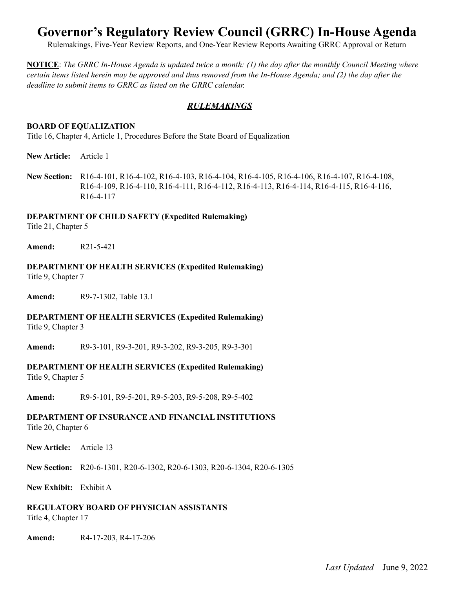# **Governor's Regulatory Review Council (GRRC) In-House Agenda**

Rulemakings, Five-Year Review Reports, and One-Year Review Reports Awaiting GRRC Approval or Return

**NOTICE**: The GRRC In-House Agenda is updated twice a month:  $(1)$  the day after the monthly Council Meeting where certain items listed herein may be approved and thus removed from the In-House Agenda; and (2) the day after the *deadline to submit items to GRRC as listed on the GRRC calendar.*

#### *RULEMAKINGS*

#### **BOARD OF EQUALIZATION**

Title 16, Chapter 4, Article 1, Procedures Before the State Board of Equalization

**New Article:** Article 1

**New Section:** R16-4-101, R16-4-102, R16-4-103, R16-4-104, R16-4-105, R16-4-106, R16-4-107, R16-4-108, R16-4-109, R16-4-110, R16-4-111, R16-4-112, R16-4-113, R16-4-114, R16-4-115, R16-4-116, R16-4-117

#### **DEPARTMENT OF CHILD SAFETY (Expedited Rulemaking)**

Title 21, Chapter 5

**Amend:** R21-5-421

## **DEPARTMENT OF HEALTH SERVICES (Expedited Rulemaking)**

Title 9, Chapter 7

**Amend:** R9-7-1302, Table 13.1

#### **DEPARTMENT OF HEALTH SERVICES (Expedited Rulemaking)**

Title 9, Chapter 3

**Amend:** R9-3-101, R9-3-201, R9-3-202, R9-3-205, R9-3-301

## **DEPARTMENT OF HEALTH SERVICES (Expedited Rulemaking)**

Title 9, Chapter 5

**Amend:** R9-5-101, R9-5-201, R9-5-203, R9-5-208, R9-5-402

## **DEPARTMENT OF INSURANCE AND FINANCIAL INSTITUTIONS**

Title 20, Chapter 6

**New Article:** Article 13

**New Section:** R20-6-1301, R20-6-1302, R20-6-1303, R20-6-1304, R20-6-1305

**New Exhibit:** Exhibit A

**REGULATORY BOARD OF PHYSICIAN ASSISTANTS**

Title 4, Chapter 17

**Amend:** R4-17-203, R4-17-206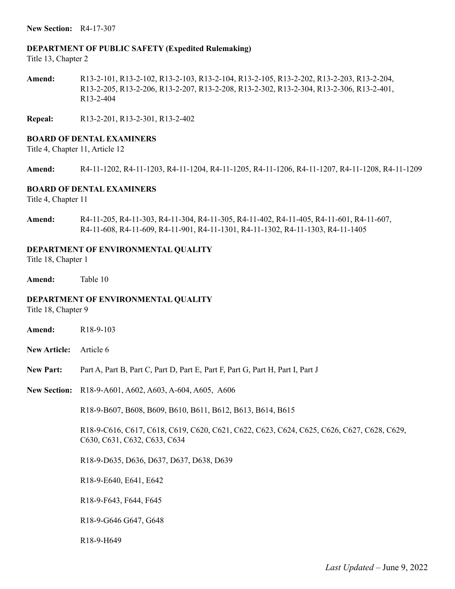**New Section:** R4-17-307

#### **DEPARTMENT OF PUBLIC SAFETY (Expedited Rulemaking)**

Title 13, Chapter 2

**Amend:** R13-2-101, R13-2-102, R13-2-103, R13-2-104, R13-2-105, R13-2-202, R13-2-203, R13-2-204, R13-2-205, R13-2-206, R13-2-207, R13-2-208, R13-2-302, R13-2-304, R13-2-306, R13-2-401, R13-2-404

**Repeal:** R13-2-201, R13-2-301, R13-2-402

#### **BOARD OF DENTAL EXAMINERS**

Title 4, Chapter 11, Article 12

**Amend:** R4-11-1202, R4-11-1203, R4-11-1204, R4-11-1205, R4-11-1206, R4-11-1207, R4-11-1208, R4-11-1209

#### **BOARD OF DENTAL EXAMINERS**

Title 4, Chapter 11

**Amend:** R4-11-205, R4-11-303, R4-11-304, R4-11-305, R4-11-402, R4-11-405, R4-11-601, R4-11-607, R4-11-608, R4-11-609, R4-11-901, R4-11-1301, R4-11-1302, R4-11-1303, R4-11-1405

#### **DEPARTMENT OF ENVIRONMENTAL QUALITY**

Title 18, Chapter 1

**Amend:** Table 10

#### **DEPARTMENT OF ENVIRONMENTAL QUALITY**

Title 18, Chapter 9

- **Amend:** R18-9-103
- **New Article:** Article 6
- **New Part:** Part A, Part B, Part C, Part D, Part E, Part F, Part G, Part H, Part I, Part J
- **New Section:** R18-9-A601, A602, A603, A-604, A605, A606

R18-9-B607, B608, B609, B610, B611, B612, B613, B614, B615

R18-9-C616, C617, C618, C619, C620, C621, C622, C623, C624, C625, C626, C627, C628, C629, C630, C631, C632, C633, C634

R18-9-D635, D636, D637, D637, D638, D639

R18-9-E640, E641, E642

R18-9-F643, F644, F645

R18-9-G646 G647, G648

R18-9-H649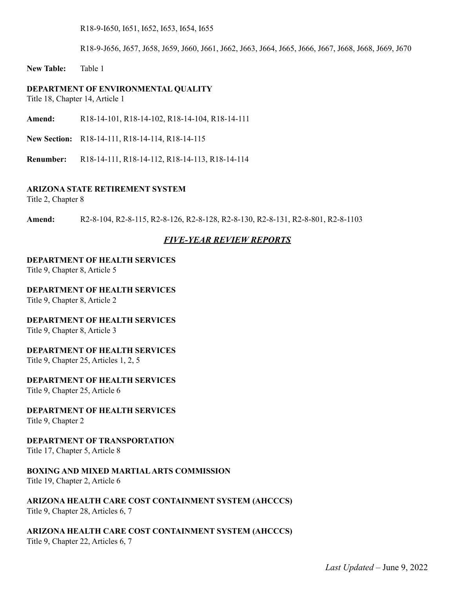R18-9-I650, I651, I652, I653, I654, I655

R18-9-J656, J657, J658, J659, J660, J661, J662, J663, J664, J665, J666, J667, J668, J668, J669, J670

**New Table:** Table 1

#### **DEPARTMENT OF ENVIRONMENTAL QUALITY**

Title 18, Chapter 14, Article 1

**Amend:** R18-14-101, R18-14-102, R18-14-104, R18-14-111

**New Section:** R18-14-111, R18-14-114, R18-14-115

**Renumber:** R18-14-111, R18-14-112, R18-14-113, R18-14-114

#### **ARIZONA STATE RETIREMENT SYSTEM**

Title 2, Chapter 8

**Amend:** R2-8-104, R2-8-115, R2-8-126, R2-8-128, R2-8-130, R2-8-131, R2-8-801, R2-8-1103

#### *FIVE-YEAR REVIEW REPORTS*

#### **DEPARTMENT OF HEALTH SERVICES**

Title 9, Chapter 8, Article 5

#### **DEPARTMENT OF HEALTH SERVICES**

Title 9, Chapter 8, Article 2

#### **DEPARTMENT OF HEALTH SERVICES**

Title 9, Chapter 8, Article 3

#### **DEPARTMENT OF HEALTH SERVICES**

Title 9, Chapter 25, Articles 1, 2, 5

### **DEPARTMENT OF HEALTH SERVICES**

Title 9, Chapter 25, Article 6

#### **DEPARTMENT OF HEALTH SERVICES**

Title 9, Chapter 2

#### **DEPARTMENT OF TRANSPORTATION**

Title 17, Chapter 5, Article 8

#### **BOXING AND MIXED MARTIALARTS COMMISSION**

Title 19, Chapter 2, Article 6

#### **ARIZONA HEALTH CARE COST CONTAINMENT SYSTEM (AHCCCS)**

Title 9, Chapter 28, Articles 6, 7

#### **ARIZONA HEALTH CARE COST CONTAINMENT SYSTEM (AHCCCS)**

Title 9, Chapter 22, Articles 6, 7